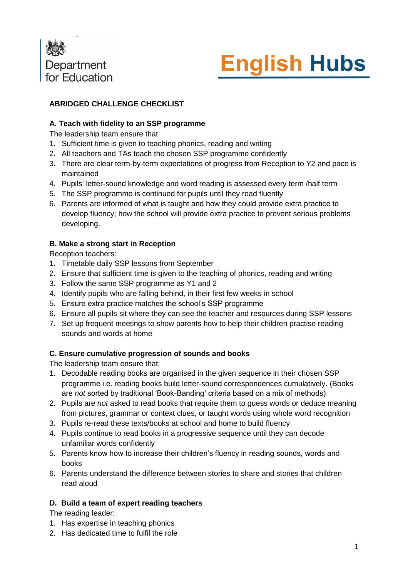



# **ABRIDGED CHALLENGE CHECKLIST**

### **A. Teach with fidelity to an SSP programme**

The leadership team ensure that:

- 1. Sufficient time is given to teaching phonics, reading and writing
- 2. All teachers and TAs teach the chosen SSP programme confidently
- 3. There are clear term-by-term expectations of progress from Reception to Y2 and pace is maintained
- 4. Pupils' letter-sound knowledge and word reading is assessed every term /half term
- 5. The SSP programme is continued for pupils until they read fluently
- 6. Parents are informed of what is taught and how they could provide extra practice to develop fluency; how the school will provide extra practice to prevent serious problems developing.

## **B. Make a strong start in Reception**

Reception teachers:

- 1. Timetable daily SSP lessons from September
- 2. Ensure that sufficient time is given to the teaching of phonics, reading and writing
- 3. Follow the same SSP programme as Y1 and 2
- 4. Identify pupils who are falling behind, in their first few weeks in school
- 5. Ensure extra practice matches the school's SSP programme
- 6. Ensure all pupils sit where they can see the teacher and resources during SSP lessons
- 7. Set up frequent meetings to show parents how to help their children practise reading sounds and words at home

#### **C. Ensure cumulative progression of sounds and books**

The leadership team ensure that:

- 1. Decodable reading books are organised in the given sequence in their chosen SSP programme i.e. reading books build letter-sound correspondences cumulatively. (Books are *not* sorted by traditional 'Book-Banding' criteria based on a mix of methods)
- 2. Pupils are *not* asked to read books that require them to guess words or deduce meaning from pictures, grammar or context clues, or taught words using whole word recognition
- 3. Pupils re-read these texts/books at school and home to build fluency
- 4. Pupils continue to read books in a progressive sequence until they can decode unfamiliar words confidently
- 5. Parents know how to increase their children's fluency in reading sounds, words and books
- 6. Parents understand the difference between stories to share and stories that children read aloud

#### **D. Build a team of expert reading teachers**

The reading leader:

- 1. Has expertise in teaching phonics
- 2. Has dedicated time to fulfil the role